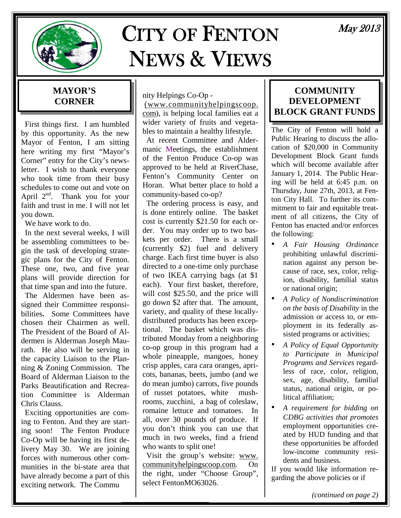

# CITY OF FENTON NEWS & VIEWS

## May 2013

#### **MAYOR'S CORNER**

 First things first. I am humbled by this opportunity. As the new Mayor of Fenton, I am sitting here writing my first "Mayor's Corner" entry for the City's newsletter. I wish to thank everyone who took time from their busy schedules to come out and vote on April  $2<sup>nd</sup>$ . Thank you for your faith and trust in me. I will not let you down.

We have work to do.

 In the next several weeks, I will be assembling committees to begin the task of developing strategic plans for the City of Fenton. These one, two, and five year plans will provide direction for that time span and into the future.

 The Aldermen have been assigned their Committee responsibilities**.** Some Committees have chosen their Chairmen as well. The President of the Board of Aldermen is Alderman Joseph Maurath. He also will be serving in the capacity Liaison to the Planning & Zoning Commission. The Board of Alderman Liaison to the Parks Beautification and Recreation Committee is Alderman Chris Clauss.

 Exciting opportunities are coming to Fenton. And they are starting soon! The Fenton Produce Co-Op will be having its first delivery May 30. We are joining forces with numerous other communities in the bi-state area that have already become a part of this exciting network. The Commu

nity Helpings Co-Op -

 (www.communityhelpingscoop. com), is helping local families eat a wider variety of fruits and vegetables to maintain a healthy lifestyle.

 At recent Committee and Aldermanic Meetings, the establishment of the Fenton Produce Co-op was approved to be held at RiverChase, Fenton's Community Center on Horan. What better place to hold a community-based co-op?

 The ordering process is easy, and is done entirely online. The basket cost is currently \$21.50 for each order. You may order up to two baskets per order. There is a small (currently \$2) fuel and delivery charge. Each first time buyer is also directed to a one-time only purchase of two IKEA carrying bags (at \$1 each). Your first basket, therefore, will cost \$25.50, and the price will go down \$2 after that. The amount, variety, and quality of these locallydistributed products has been exceptional. The basket which was distributed Monday from a neighboring co-op group in this program had a whole pineapple, mangoes, honey crisp apples, cara cara oranges, apricots, bananas, beets, jumbo (and we do mean jumbo) carrots, five pounds of russet potatoes, white mushrooms, zucchini, a bag of coleslaw, romaine lettuce and tomatoes. In all, over 30 pounds of produce. If you don't think you can use that much in two weeks, find a friend who wants to split one!

 Visit the group's website: www. communityhelpingscoop.com. On the right, under "Choose Group", select FentonMO63026.

#### **COMMUNITY DEVELOPMENT BLOCK GRANT FUNDS**

The City of Fenton will hold a Public Hearing to discuss the allocation of \$20,000 in Community Development Block Grant funds which will become available after January 1, 2014. The Public Hearing will be held at 6:45 p.m. on Thursday, June 27th, 2013, at Fenton City Hall. To further its commitment to fair and equitable treatment of all citizens, the City of Fenton has enacted and/or enforces the following:

- *A Fair Housing Ordinance*  prohibiting unlawful discrimination against any person because of race, sex, color, religion, disability, familial status or national origin;
- *A Policy of Nondiscrimination on the basis of Disability* in the admission or access to, or employment in its federally assisted programs or activities;
- *A Policy of Equal Opportunity to Participate in Municipal Programs and Services* regardless of race, color, religion, sex, age, disability, familial status, national origin, or political affiliation;
- *A requirement for bidding on CDBG activities that promotes*  employment opportunities created by HUD funding and that these opportunities be afforded low-income community residents and business.

If you would like information regarding the above policies or if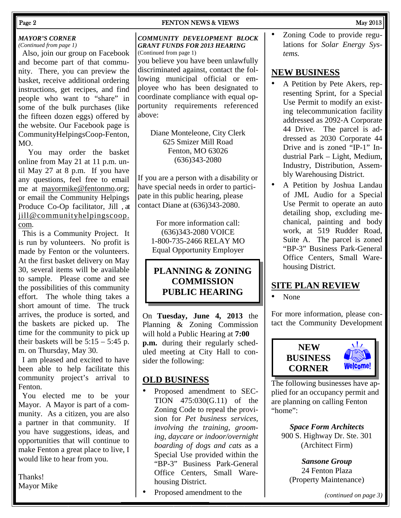#### Page 2 **FENTON NEWS & VIEWS** May 2013

#### *MAYOR'S CORNER*

*(Continued from page 1)* 

 Also, join our group on Facebook and become part of that community. There, you can preview the basket, receive additional ordering instructions, get recipes, and find people who want to "share" in some of the bulk purchases (like the fifteen dozen eggs) offered by the website. Our Facebook page is CommunityHelpingsCoop-Fenton, MO.

 You may order the basket online from May 21 at 11 p.m. until May 27 at 8 p.m. If you have any questions, feel free to email me at mayormike@fentonmo.org; or email the Community Helpings Produce Co-Op facilitator, Jill , at jill@communityhelpingscoop. com.

 This is a Community Project. It is run by volunteers. No profit is made by Fenton or the volunteers. At the first basket delivery on May 30, several items will be available to sample. Please come and see the possibilities of this community effort. The whole thing takes a short amount of time. The truck arrives, the produce is sorted, and the baskets are picked up. The time for the community to pick up their baskets will be  $5:15 - 5:45$  p. m. on Thursday, May 30.

 I am pleased and excited to have been able to help facilitate this community project's arrival to Fenton.

 You elected me to be your Mayor. A Mayor is part of a community. As a citizen, you are also a partner in that community. If you have suggestions, ideas, and opportunities that will continue to make Fenton a great place to live, I would like to hear from you.

Thanks! Mayor Mike

#### *COMMUNITY DEVELOPMENT BLOCK GRANT FUNDS FOR 2013 HEARING*  (Continued from page 1)

you believe you have been unlawfully discriminated against, contact the following municipal official or employee who has been designated to coordinate compliance with equal opportunity requirements referenced above:

Diane Monteleone, City Clerk 625 Smizer Mill Road Fenton, MO 63026 (636)343-2080

If you are a person with a disability or have special needs in order to participate in this public hearing, please contact Diane at (636)343-2080.

> For more information call: (636)343-2080 VOICE 1-800-735-2466 RELAY MO Equal Opportunity Employer

#### **PLANNING & ZONING COMMISSION PUBLIC HEARING**

On **Tuesday, June 4, 2013** the Planning & Zoning Commission will hold a Public Hearing at **7:00 p.m.** during their regularly scheduled meeting at City Hall to consider the following:

#### **OLD BUSINESS**

- Proposed amendment to SEC-TION 475:030(G.11) of the Zoning Code to repeal the provision for *Pet business services, involving the training, grooming, daycare or indoor/overnight boarding of dogs and cats* as a Special Use provided within the "BP-3" Business Park-General Office Centers, Small Warehousing District.
- Proposed amendment to the

• Zoning Code to provide regulations for *Solar Energy Systems.*

#### **NEW BUSINESS**

- A Petition by Pete Akers, representing Sprint, for a Special Use Permit to modify an existing telecommunication facility addressed as 2092-A Corporate 44 Drive. The parcel is addressed as 2030 Corporate 44 Drive and is zoned "IP-1" Industrial Park – Light, Medium, Industry, Distribution, Assembly Warehousing District.
- A Petition by Joshua Landau of JML Audio for a Special Use Permit to operate an auto detailing shop, excluding mechanical, painting and body work, at 519 Rudder Road, Suite A. The parcel is zoned "BP-3" Business Park-General Office Centers, Small Warehousing District.

#### **SITE PLAN REVIEW**

• None

For more information, please contact the Community Development



 $\sqrt{ }$ Welcome!

The following businesses have applied for an occupancy permit and are planning on calling Fenton "home":

*Space Form Architects*  900 S. Highway Dr. Ste. 301 (Architect Firm)

*Sansone Group*  24 Fenton Plaza (Property Maintenance)

*(continued on page 3)*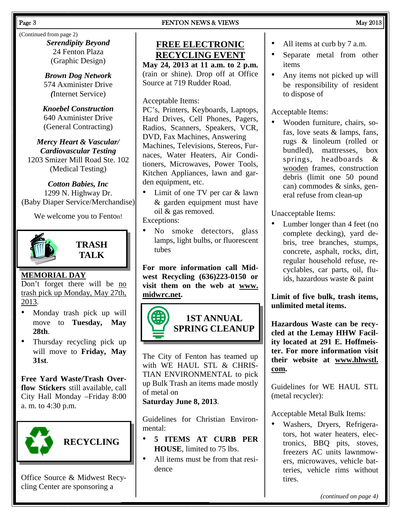#### Page 3 **FENTON NEWS & VIEWS** May 2013

(Continued from page 2) *Serendipity Beyond*  24 Fenton Plaza (Graphic Design)

> *Brown Dog Network*  574 Axminister Drive *(*Internet Service)

*Knoebel Construction*  640 Axminister Drive (General Contracting)

*Mercy Heart & Vascular/ Cardiovascular Testing*  1203 Smizer Mill Road Ste. 102 (Medical Testing)

*Cotton Babies, Inc*  1299 N. Highway Dr. (Baby Diaper Service/Merchandise)

We welcome you to Fenton!



**TRASH TALK** 

### **MEMORIAL DAY**

Don't forget there will be no trash pick up Monday, May 27th, 2013.

- Monday trash pick up will move to **Tuesday, May 28th**.
- Thursday recycling pick up will move to **Friday, May 31st**.

**Free Yard Waste/Trash Overflow Stickers** still available, call City Hall Monday –Friday 8:00 a. m. to 4:30 p.m.



Office Source & Midwest Recycling Center are sponsoring a

## **FREE ELECTRONIC RECYCLING EVENT**

**May 24, 2013 at 11 a.m. to 2 p.m.**  (rain or shine). Drop off at Office Source at 719 Rudder Road.

#### Acceptable Items:

PC's, Printers, Keyboards, Laptops, Hard Drives, Cell Phones, Pagers, Radios, Scanners, Speakers, VCR, DVD, Fax Machines, Answering Machines, Televisions, Stereos, Furnaces, Water Heaters, Air Conditioners, Microwaves, Power Tools, Kitchen Appliances, lawn and garden equipment, etc.

• Limit of one TV per car & lawn & garden equipment must have oil & gas removed.

Exceptions:

• No smoke detectors, glass lamps, light bulbs, or fluorescent tubes

**For more information call Midwest Recycling (636)223-0150 or visit them on the web at www. midwrc.net.** 



The City of Fenton has teamed up with WE HAUL STL & CHRIS-TIAN ENVIRONMENTAL to pick up Bulk Trash an items made mostly of metal on

#### **Saturday June 8, 2013**.

Guidelines for Christian Environmental:

- **5 ITEMS AT CURB PER HOUSE**, limited to 75 lbs.
- All items must be from that residence
- All items at curb by 7 a.m.
- Separate metal from other items
- Any items not picked up will be responsibility of resident to dispose of

Acceptable Items:

• Wooden furniture, chairs, sofas, love seats & lamps, fans, rugs & linoleum (rolled or bundled), mattresses, box springs, headboards & wooden frames, construction debris (limit one 50 pound can) commodes & sinks, general refuse from clean-up

Unacceptable Items:

• Lumber longer than 4 feet (no complete decking), yard debris, tree branches, stumps, concrete, asphalt, rocks, dirt, regular household refuse, recyclables, car parts, oil, fluids, hazardous waste & paint

**Limit of five bulk, trash items, unlimited metal items.** 

**Hazardous Waste can be recycled at the Lemay HHW Facility located at 291 E. Hoffmeister. For more information visit their website at www.hhwstl. com.** 

Guidelines for WE HAUL STL (metal recycler):

Acceptable Metal Bulk Items:

• Washers, Dryers, Refrigerators, hot water heaters, electronics, BBQ pits, stoves, freezers AC units lawnmowers, microwaves, vehicle batteries, vehicle rims without tires.

*(continued on page 4)*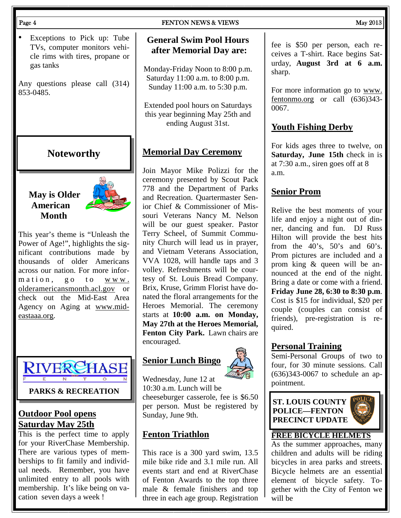Exceptions to Pick up: Tube TVs, computer monitors vehicle rims with tires, propane or gas tanks

Any questions please call (314) 853-0485.

#### **Noteworthy**

#### **May is Older American Month**



This year's theme is "Unleash the Power of Age!", highlights the significant contributions made by thousands of older Americans across our nation. For more information, go to www. olderamericansmonth.acl.gov or check out the Mid-East Area Agency on Aging at www.mideastaaa.org.



#### **Outdoor Pool opens Saturday May 25th**

This is the perfect time to apply for your RiverChase Membership. There are various types of memberships to fit family and individual needs. Remember, you have unlimited entry to all pools with membership. It's like being on vacation seven days a week !

#### Page 4 **FENTON NEWS & VIEWS** May 2013

#### **General Swim Pool Hours after Memorial Day are:**

Monday-Friday Noon to 8:00 p.m. Saturday 11:00 a.m. to 8:00 p.m. Sunday 11:00 a.m. to 5:30 p.m.

Extended pool hours on Saturdays this year beginning May 25th and ending August 31st.

#### **Memorial Day Ceremony**

Join Mayor Mike Polizzi for the ceremony presented by Scout Pack 778 and the Department of Parks and Recreation. Quartermaster Senior Chief & Commissioner of Missouri Veterans Nancy M. Nelson will be our guest speaker. Pastor Terry Scheel, of Summit Community Church will lead us in prayer, and Vietnam Veterans Association, VVA 1028, will handle taps and 3 volley. Refreshments will be courtesy of St. Louis Bread Company. Brix, Kruse, Grimm Florist have donated the floral arrangements for the Heroes Memorial. The ceremony starts at **10:00 a.m. on Monday, May 27th at the Heroes Memorial, Fenton City Park.** Lawn chairs are encouraged.

#### **Senior Lunch Bingo**



Wednesday, June 12 at 10:30 a.m. Lunch will be cheeseburger casserole, fee is \$6.50 per person. Must be registered by Sunday, June 9th.

#### **Fenton Triathlon**

This race is a 300 yard swim, 13.5 mile bike ride and 3.1 mile run. All events start and end at RiverChase of Fenton Awards to the top three male & female finishers and top three in each age group. Registration

fee is \$50 per person, each receives a T-shirt. Race begins Saturday, **August 3rd at 6 a.m.** sharp.

For more information go to www. fentonmo.org or call (636)343- 0067.

#### **Youth Fishing Derby**

For kids ages three to twelve, on **Saturday, June 15th** check in is at 7:30 a.m., siren goes off at 8 a.m.

#### **Senior Prom**

Relive the best moments of your life and enjoy a night out of dinner, dancing and fun. DJ Russ Hilton will provide the best hits from the  $40^\circ$ s,  $50^\circ$ s and  $60^\circ$ s. Prom pictures are included and a prom king & queen will be announced at the end of the night. Bring a date or come with a friend. **Friday June 28, 6:30 to 8:30 p.m**. Cost is \$15 for individual, \$20 per couple (couples can consist of friends), pre-registration is required.

#### **Personal Training**

Semi-Personal Groups of two to four, for 30 minute sessions. Call (636)343-0067 to schedule an appointment.

**ST. LOUIS COUNTY POLICE—FENTON PRECINCT UPDATE** 



#### **FREE BICYCLE HELMETS**

As the summer approaches, many children and adults will be riding bicycles in area parks and streets. Bicycle helmets are an essential element of bicycle safety. Together with the City of Fenton we will be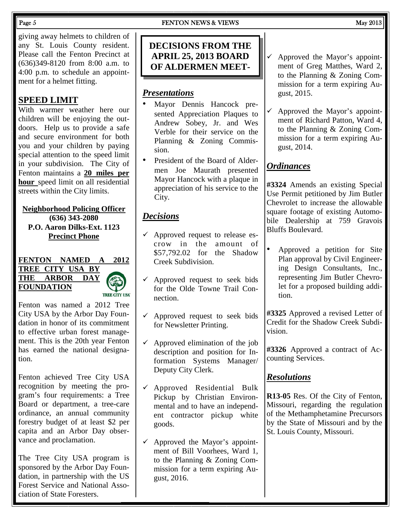giving away helmets to children of any St. Louis County resident. Please call the Fenton Precinct at (636)349-8120 from 8:00 a.m. to 4:00 p.m. to schedule an appointment for a helmet fitting.

#### **SPEED LIMIT**

With warmer weather here our children will be enjoying the outdoors. Help us to provide a safe and secure environment for both you and your children by paying special attention to the speed limit in your subdivision. The City of Fenton maintains a **20 miles per hour** speed limit on all residential streets within the City limits.

#### **Neighborhood Policing Officer (636) 343-2080 P.O. Aaron Dilks-Ext. 1123 Precinct Phone**

#### **FENTON NAMED A 2012 TREE CITY USA BY THE ARBOR DAY FOUNDATION TREE CITY USA**

Fenton was named a 2012 Tree City USA by the Arbor Day Foundation in honor of its commitment to effective urban forest management. This is the 20th year Fenton has earned the national designation.

Fenton achieved Tree City USA recognition by meeting the program's four requirements: a Tree Board or department, a tree-care ordinance, an annual community forestry budget of at least \$2 per capita and an Arbor Day observance and proclamation.

The Tree City USA program is sponsored by the Arbor Day Foundation, in partnership with the US Forest Service and National Association of State Foresters.

## Page 5 **FENTON NEWS & VIEWS** May 2013

#### **DECISIONS FROM THE APRIL 25, 2013 BOARD OF ALDERMEN MEET-**

#### *Presentations*

- Mayor Dennis Hancock presented Appreciation Plaques to Andrew Sobey, Jr. and Wes Verble for their service on the Planning & Zoning Commission.
- President of the Board of Aldermen Joe Maurath presented Mayor Hancock with a plaque in appreciation of his service to the City.

#### *Decisions*

- Approved request to release escrow in the amount of \$57,792.02 for the Shadow Creek Subdivision.
- Approved request to seek bids for the Olde Towne Trail Connection.
- $\checkmark$  Approved request to seek bids for Newsletter Printing.
- $\checkmark$  Approved elimination of the job description and position for Information Systems Manager/ Deputy City Clerk.
- Approved Residential Bulk Pickup by Christian Environmental and to have an independent contractor pickup white goods.
- $\checkmark$  Approved the Mayor's appointment of Bill Voorhees, Ward 1, to the Planning & Zoning Commission for a term expiring August, 2016.
- $\checkmark$  Approved the Mayor's appointment of Greg Matthes, Ward 2, to the Planning & Zoning Commission for a term expiring August, 2015.
- $\checkmark$  Approved the Mayor's appointment of Richard Patton, Ward 4, to the Planning & Zoning Commission for a term expiring August, 2014.

#### *Ordinances*

**#3324** Amends an existing Special Use Permit petitioned by Jim Butler Chevrolet to increase the allowable square footage of existing Automobile Dealership at 759 Gravois Bluffs Boulevard.

• Approved a petition for Site Plan approval by Civil Engineering Design Consultants, Inc., representing Jim Butler Chevrolet for a proposed building addition.

**#3325** Approved a revised Letter of Credit for the Shadow Creek Subdivision.

**#3326** Approved a contract of Accounting Services.

#### *Resolutions*

**R13-05** Res. Of the City of Fenton, Missouri, regarding the regulation of the Methamphetamine Precursors by the State of Missouri and by the St. Louis County, Missouri.